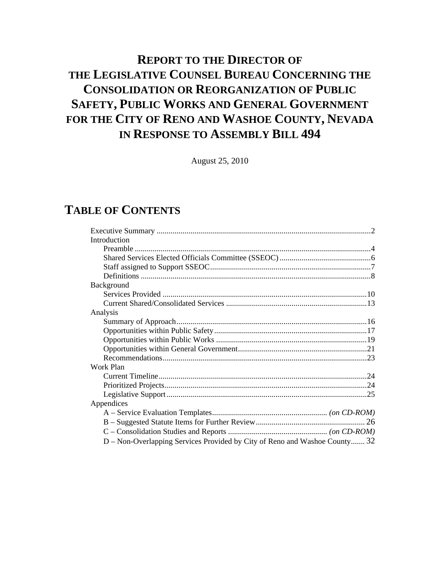# <span id="page-0-0"></span>**REPORT TO THE DIRECTOR OF THE LEGISLATIVE COUNSEL BUREAU CONCERNING THE CONSOLIDATION OR REORGANIZATION OF PUBLIC SAFETY, PUBLIC WORKS AND GENERAL GOVERNMENT FOR THE CITY OF RENO AND WASHOE COUNTY, NEVADA IN RESPONSE TO ASSEMBLY BILL 494**

August 25, 2010

# **TABLE OF CONTENTS**

| Introduction                                                               |  |
|----------------------------------------------------------------------------|--|
|                                                                            |  |
|                                                                            |  |
|                                                                            |  |
|                                                                            |  |
| Background                                                                 |  |
|                                                                            |  |
|                                                                            |  |
| Analysis                                                                   |  |
|                                                                            |  |
|                                                                            |  |
|                                                                            |  |
|                                                                            |  |
|                                                                            |  |
| Work Plan                                                                  |  |
|                                                                            |  |
|                                                                            |  |
|                                                                            |  |
| Appendices                                                                 |  |
|                                                                            |  |
|                                                                            |  |
|                                                                            |  |
| D - Non-Overlapping Services Provided by City of Reno and Washoe County 32 |  |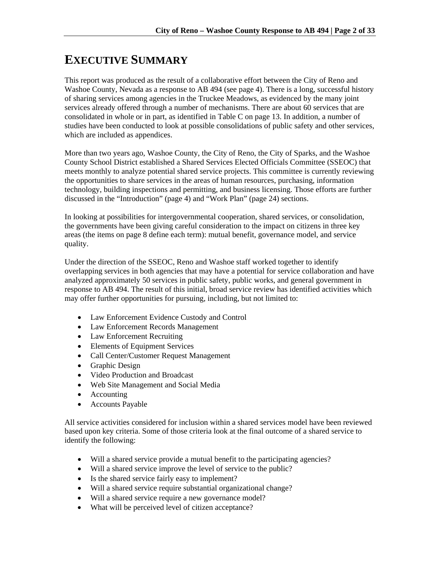# **EXECUTIVE SUMMARY**

This report was produced as the result of a collaborative effort between the City of Reno and Washoe County, Nevada as a response to AB 494 (see page 4). There is a long, successful history of sharing services among agencies in the Truckee Meadows, as evidenced by the many joint services already offered through a number of mechanisms. There are about 60 services that are consolidated in whole or in part, as identified in Table C on page 13. In addition, a number of studies have been conducted to look at possible consolidations of public safety and other services, which are included as appendices.

More than two years ago, Washoe County, the City of Reno, the City of Sparks, and the Washoe County School District established a Shared Services Elected Officials Committee (SSEOC) that meets monthly to analyze potential shared service projects. This committee is currently reviewing the opportunities to share services in the areas of human resources, purchasing, information technology, building inspections and permitting, and business licensing. Those efforts are further discussed in the "Introduction" (page 4) and "Work Plan" (page 24) sections.

In looking at possibilities for intergovernmental cooperation, shared services, or consolidation, the governments have been giving careful consideration to the impact on citizens in three key areas (the items on page 8 define each term): mutual benefit, governance model, and service quality.

Under the direction of the SSEOC, Reno and Washoe staff worked together to identify overlapping services in both agencies that may have a potential for service collaboration and have analyzed approximately 50 services in public safety, public works, and general government in response to AB 494. The result of this initial, broad service review has identified activities which may offer further opportunities for pursuing, including, but not limited to:

- Law Enforcement Evidence Custody and Control
- Law Enforcement Records Management
- Law Enforcement Recruiting
- Elements of Equipment Services
- Call Center/Customer Request Management
- Graphic Design
- Video Production and Broadcast
- Web Site Management and Social Media
- Accounting
- Accounts Payable

All service activities considered for inclusion within a shared services model have been reviewed based upon key criteria. Some of those criteria look at the final outcome of a shared service to identify the following:

- Will a shared service provide a mutual benefit to the participating agencies?
- Will a shared service improve the level of service to the public?
- Is the shared service fairly easy to implement?
- Will a shared service require substantial organizational change?
- Will a shared service require a new governance model?
- What will be perceived level of citizen acceptance?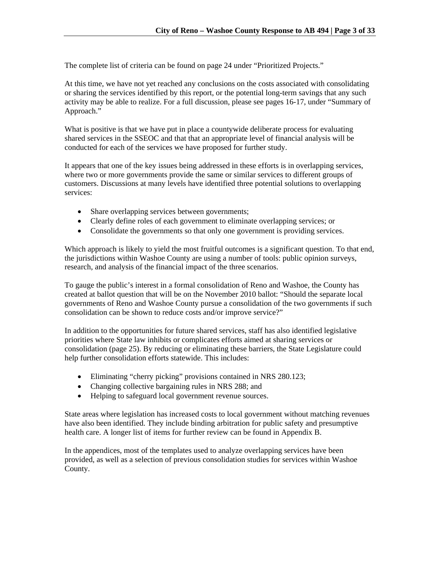The complete list of criteria can be found on page 24 under "Prioritized Projects."

At this time, we have not yet reached any conclusions on the costs associated with consolidating or sharing the services identified by this report, or the potential long-term savings that any such activity may be able to realize. For a full discussion, please see pages 16-17, under "Summary of Approach."

What is positive is that we have put in place a countywide deliberate process for evaluating shared services in the SSEOC and that that an appropriate level of financial analysis will be conducted for each of the services we have proposed for further study.

It appears that one of the key issues being addressed in these efforts is in overlapping services, where two or more governments provide the same or similar services to different groups of customers. Discussions at many levels have identified three potential solutions to overlapping services:

- Share overlapping services between governments;
- Clearly define roles of each government to eliminate overlapping services; or
- Consolidate the governments so that only one government is providing services.

Which approach is likely to yield the most fruitful outcomes is a significant question. To that end, the jurisdictions within Washoe County are using a number of tools: public opinion surveys, research, and analysis of the financial impact of the three scenarios.

To gauge the public's interest in a formal consolidation of Reno and Washoe, the County has created at ballot question that will be on the November 2010 ballot: "Should the separate local governments of Reno and Washoe County pursue a consolidation of the two governments if such consolidation can be shown to reduce costs and/or improve service?"

In addition to the opportunities for future shared services, staff has also identified legislative priorities where State law inhibits or complicates efforts aimed at sharing services or consolidation (page 25). By reducing or eliminating these barriers, the State Legislature could help further consolidation efforts statewide. This includes:

- Eliminating "cherry picking" provisions contained in NRS 280.123;
- Changing collective bargaining rules in NRS 288; and
- Helping to safeguard local government revenue sources.

State areas where legislation has increased costs to local government without matching revenues have also been identified. They include binding arbitration for public safety and presumptive health care. A longer list of items for further review can be found in Appendix B.

In the appendices, most of the templates used to analyze overlapping services have been provided, as well as a selection of previous consolidation studies for services within Washoe County.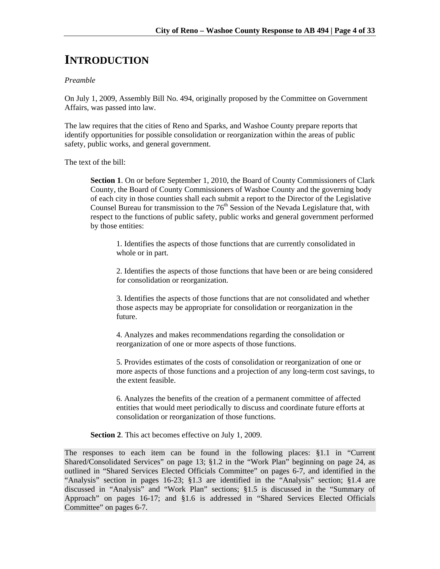# **INTRODUCTION**

### *Preamble*

On July 1, 2009, Assembly Bill No. 494, originally proposed by the Committee on Government Affairs, was passed into law.

The law requires that the cities of Reno and Sparks, and Washoe County prepare reports that identify opportunities for possible consolidation or reorganization within the areas of public safety, public works, and general government.

The text of the bill:

**Section 1**. On or before September 1, 2010, the Board of County Commissioners of Clark County, the Board of County Commissioners of Washoe County and the governing body of each city in those counties shall each submit a report to the Director of the Legislative Counsel Bureau for transmission to the  $76<sup>th</sup>$  Session of the Nevada Legislature that, with respect to the functions of public safety, public works and general government performed by those entities:

1. Identifies the aspects of those functions that are currently consolidated in whole or in part.

2. Identifies the aspects of those functions that have been or are being considered for consolidation or reorganization.

3. Identifies the aspects of those functions that are not consolidated and whether those aspects may be appropriate for consolidation or reorganization in the future.

4. Analyzes and makes recommendations regarding the consolidation or reorganization of one or more aspects of those functions.

5. Provides estimates of the costs of consolidation or reorganization of one or more aspects of those functions and a projection of any long-term cost savings, to the extent feasible.

6. Analyzes the benefits of the creation of a permanent committee of affected entities that would meet periodically to discuss and coordinate future efforts at consolidation or reorganization of those functions.

**Section 2**. This act becomes effective on July 1, 2009.

The responses to each item can be found in the following places: §1.1 in "Current Shared/Consolidated Services" on page 13; §1.2 in the "Work Plan" beginning on page 24, as outlined in "Shared Services Elected Officials Committee" on pages 6-7, and identified in the "Analysis" section in pages 16-23; §1.3 are identified in the "Analysis" section; §1.4 are discussed in "Analysis" and "Work Plan" sections; §1.5 is discussed in the "Summary of Approach" on pages 16-17; and §1.6 is addressed in "Shared Services Elected Officials Committee" on pages 6-7.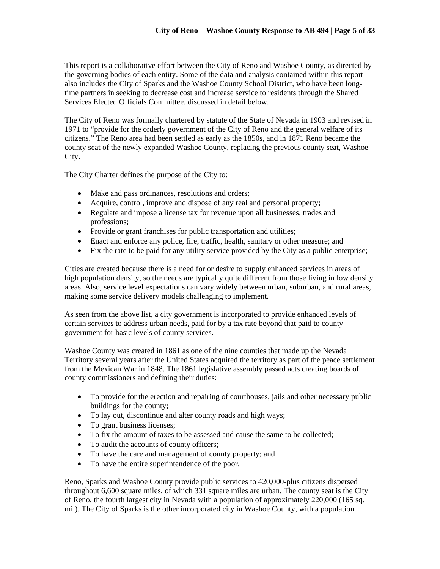This report is a collaborative effort between the City of Reno and Washoe County, as directed by the governing bodies of each entity. Some of the data and analysis contained within this report also includes the City of Sparks and the Washoe County School District, who have been longtime partners in seeking to decrease cost and increase service to residents through the Shared Services Elected Officials Committee, discussed in detail below.

The City of Reno was formally chartered by statute of the State of Nevada in 1903 and revised in 1971 to "provide for the orderly government of the City of Reno and the general welfare of its citizens." The Reno area had been settled as early as the 1850s, and in 1871 Reno became the county seat of the newly expanded Washoe County, replacing the previous county seat, Washoe City.

The City Charter defines the purpose of the City to:

- Make and pass ordinances, resolutions and orders;
- Acquire, control, improve and dispose of any real and personal property;
- Regulate and impose a license tax for revenue upon all businesses, trades and professions;
- Provide or grant franchises for public transportation and utilities;
- Enact and enforce any police, fire, traffic, health, sanitary or other measure; and
- Fix the rate to be paid for any utility service provided by the City as a public enterprise;

Cities are created because there is a need for or desire to supply enhanced services in areas of high population density, so the needs are typically quite different from those living in low density areas. Also, service level expectations can vary widely between urban, suburban, and rural areas, making some service delivery models challenging to implement.

As seen from the above list, a city government is incorporated to provide enhanced levels of certain services to address urban needs, paid for by a tax rate beyond that paid to county government for basic levels of county services.

Washoe County was created in 1861 as one of the nine counties that made up the Nevada Territory several years after the United States acquired the territory as part of the peace settlement from the Mexican War in 1848. The 1861 legislative assembly passed acts creating boards of county commissioners and defining their duties:

- To provide for the erection and repairing of courthouses, jails and other necessary public buildings for the county;
- To lay out, discontinue and alter county roads and high ways;
- To grant business licenses;
- To fix the amount of taxes to be assessed and cause the same to be collected;
- To audit the accounts of county officers;
- To have the care and management of county property; and
- To have the entire superintendence of the poor.

Reno, Sparks and Washoe County provide public services to 420,000-plus citizens dispersed throughout 6,600 square miles, of which 331 square miles are urban. The county seat is the City of Reno, the fourth largest city in Nevada with a population of approximately 220,000 (165 sq. mi.). The City of Sparks is the other incorporated city in Washoe County, with a population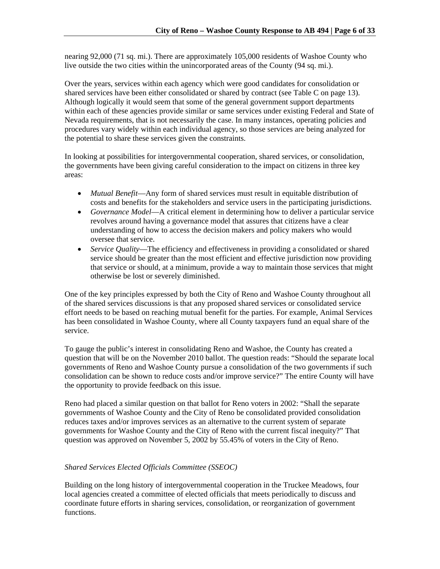nearing 92,000 (71 sq. mi.). There are approximately 105,000 residents of Washoe County who live outside the two cities within the unincorporated areas of the County (94 sq. mi.).

Over the years, services within each agency which were good candidates for consolidation or shared services have been either consolidated or shared by contract (see Table C on page 13). Although logically it would seem that some of the general government support departments within each of these agencies provide similar or same services under existing Federal and State of Nevada requirements, that is not necessarily the case. In many instances, operating policies and procedures vary widely within each individual agency, so those services are being analyzed for the potential to share these services given the constraints.

In looking at possibilities for intergovernmental cooperation, shared services, or consolidation, the governments have been giving careful consideration to the impact on citizens in three key areas:

- *Mutual Benefit*—Any form of shared services must result in equitable distribution of costs and benefits for the stakeholders and service users in the participating jurisdictions.
- *Governance Model*—A critical element in determining how to deliver a particular service revolves around having a governance model that assures that citizens have a clear understanding of how to access the decision makers and policy makers who would oversee that service.
- *Service Quality*—The efficiency and effectiveness in providing a consolidated or shared service should be greater than the most efficient and effective jurisdiction now providing that service or should, at a minimum, provide a way to maintain those services that might otherwise be lost or severely diminished.

One of the key principles expressed by both the City of Reno and Washoe County throughout all of the shared services discussions is that any proposed shared services or consolidated service effort needs to be based on reaching mutual benefit for the parties. For example, Animal Services has been consolidated in Washoe County, where all County taxpayers fund an equal share of the service.

To gauge the public's interest in consolidating Reno and Washoe, the County has created a question that will be on the November 2010 ballot. The question reads: "Should the separate local governments of Reno and Washoe County pursue a consolidation of the two governments if such consolidation can be shown to reduce costs and/or improve service?" The entire County will have the opportunity to provide feedback on this issue.

Reno had placed a similar question on that ballot for Reno voters in 2002: "Shall the separate governments of Washoe County and the City of Reno be consolidated provided consolidation reduces taxes and/or improves services as an alternative to the current system of separate governments for Washoe County and the City of Reno with the current fiscal inequity?" That question was approved on November 5, 2002 by 55.45% of voters in the City of Reno.

# *Shared Services Elected Officials Committee (SSEOC)*

Building on the long history of intergovernmental cooperation in the Truckee Meadows, four local agencies created a committee of elected officials that meets periodically to discuss and coordinate future efforts in sharing services, consolidation, or reorganization of government functions.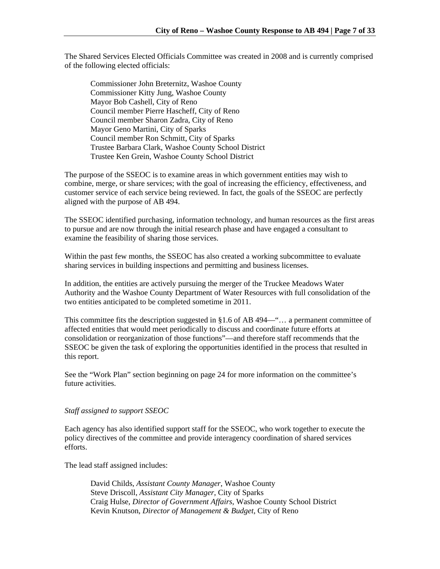The Shared Services Elected Officials Committee was created in 2008 and is currently comprised of the following elected officials:

Commissioner John Breternitz, Washoe County Commissioner Kitty Jung, Washoe County Mayor Bob Cashell, City of Reno Council member Pierre Hascheff, City of Reno Council member Sharon Zadra, City of Reno Mayor Geno Martini, City of Sparks Council member Ron Schmitt, City of Sparks Trustee Barbara Clark, Washoe County School District Trustee Ken Grein, Washoe County School District

The purpose of the SSEOC is to examine areas in which government entities may wish to combine, merge, or share services; with the goal of increasing the efficiency, effectiveness, and customer service of each service being reviewed. In fact, the goals of the SSEOC are perfectly aligned with the purpose of AB 494.

The SSEOC identified purchasing, information technology, and human resources as the first areas to pursue and are now through the initial research phase and have engaged a consultant to examine the feasibility of sharing those services.

Within the past few months, the SSEOC has also created a working subcommittee to evaluate sharing services in building inspections and permitting and business licenses.

In addition, the entities are actively pursuing the merger of the Truckee Meadows Water Authority and the Washoe County Department of Water Resources with full consolidation of the two entities anticipated to be completed sometime in 2011.

This committee fits the description suggested in §1.6 of AB 494—"… a permanent committee of affected entities that would meet periodically to discuss and coordinate future efforts at consolidation or reorganization of those functions"—and therefore staff recommends that the SSEOC be given the task of exploring the opportunities identified in the process that resulted in this report.

See the "Work Plan" section beginning on page 24 for more information on the committee's future activities.

# *Staff assigned to support SSEOC*

Each agency has also identified support staff for the SSEOC, who work together to execute the policy directives of the committee and provide interagency coordination of shared services efforts.

The lead staff assigned includes:

David Childs, *Assistant County Manager*, Washoe County Steve Driscoll, *Assistant City Manager*, City of Sparks Craig Hulse, *Director of Government Affairs*, Washoe County School District Kevin Knutson, *Director of Management & Budget*, City of Reno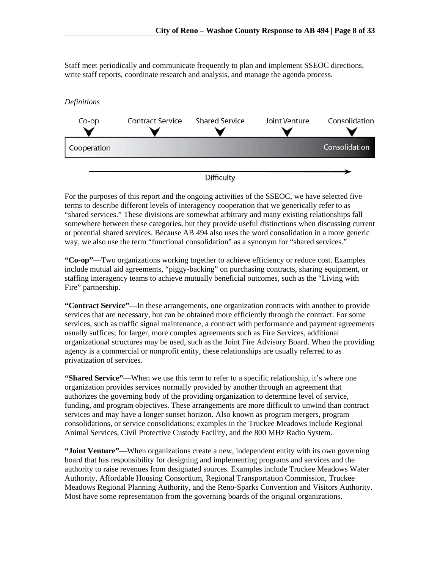Staff meet periodically and communicate frequently to plan and implement SSEOC directions, write staff reports, coordinate research and analysis, and manage the agenda process.



For the purposes of this report and the ongoing activities of the SSEOC, we have selected five terms to describe different levels of interagency cooperation that we generically refer to as "shared services." These divisions are somewhat arbitrary and many existing relationships fall somewhere between these categories, but they provide useful distinctions when discussing current or potential shared services. Because AB 494 also uses the word consolidation in a more generic way, we also use the term "functional consolidation" as a synonym for "shared services."

**"Co-op"**—Two organizations working together to achieve efficiency or reduce cost. Examples include mutual aid agreements, "piggy-backing" on purchasing contracts, sharing equipment, or staffing interagency teams to achieve mutually beneficial outcomes, such as the "Living with Fire" partnership.

**"Contract Service"**—In these arrangements, one organization contracts with another to provide services that are necessary, but can be obtained more efficiently through the contract. For some services, such as traffic signal maintenance, a contract with performance and payment agreements usually suffices; for larger, more complex agreements such as Fire Services, additional organizational structures may be used, such as the Joint Fire Advisory Board. When the providing agency is a commercial or nonprofit entity, these relationships are usually referred to as privatization of services.

**"Shared Service"**—When we use this term to refer to a specific relationship, it's where one organization provides services normally provided by another through an agreement that authorizes the governing body of the providing organization to determine level of service, funding, and program objectives. These arrangements are more difficult to unwind than contract services and may have a longer sunset horizon. Also known as program mergers, program consolidations, or service consolidations; examples in the Truckee Meadows include Regional Animal Services, Civil Protective Custody Facility, and the 800 MHz Radio System.

**"Joint Venture"**—When organizations create a new, independent entity with its own governing board that has responsibility for designing and implementing programs and services and the authority to raise revenues from designated sources. Examples include Truckee Meadows Water Authority, Affordable Housing Consortium, Regional Transportation Commission, Truckee Meadows Regional Planning Authority, and the Reno-Sparks Convention and Visitors Authority. Most have some representation from the governing boards of the original organizations.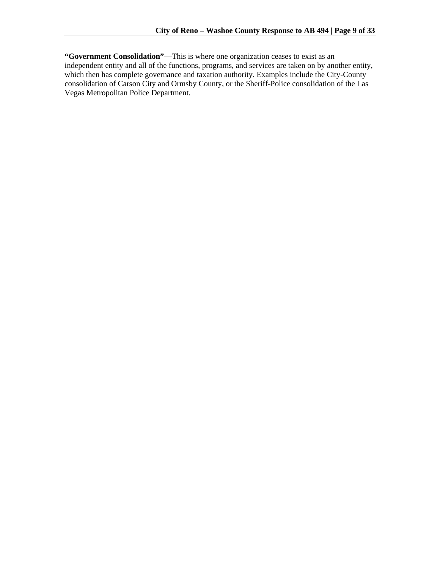**"Government Consolidation"**—This is where one organization ceases to exist as an independent entity and all of the functions, programs, and services are taken on by another entity, which then has complete governance and taxation authority. Examples include the City-County consolidation of Carson City and Ormsby County, or the Sheriff-Police consolidation of the Las Vegas Metropolitan Police Department.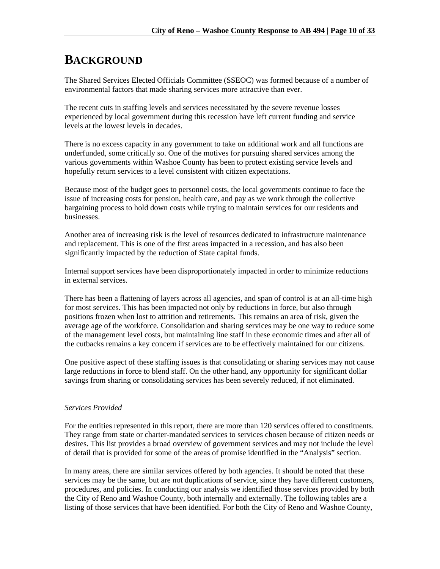# **BACKGROUND**

The Shared Services Elected Officials Committee (SSEOC) was formed because of a number of environmental factors that made sharing services more attractive than ever.

The recent cuts in staffing levels and services necessitated by the severe revenue losses experienced by local government during this recession have left current funding and service levels at the lowest levels in decades.

There is no excess capacity in any government to take on additional work and all functions are underfunded, some critically so. One of the motives for pursuing shared services among the various governments within Washoe County has been to protect existing service levels and hopefully return services to a level consistent with citizen expectations.

Because most of the budget goes to personnel costs, the local governments continue to face the issue of increasing costs for pension, health care, and pay as we work through the collective bargaining process to hold down costs while trying to maintain services for our residents and businesses.

Another area of increasing risk is the level of resources dedicated to infrastructure maintenance and replacement. This is one of the first areas impacted in a recession, and has also been significantly impacted by the reduction of State capital funds.

Internal support services have been disproportionately impacted in order to minimize reductions in external services.

There has been a flattening of layers across all agencies, and span of control is at an all-time high for most services. This has been impacted not only by reductions in force, but also through positions frozen when lost to attrition and retirements. This remains an area of risk, given the average age of the workforce. Consolidation and sharing services may be one way to reduce some of the management level costs, but maintaining line staff in these economic times and after all of the cutbacks remains a key concern if services are to be effectively maintained for our citizens.

One positive aspect of these staffing issues is that consolidating or sharing services may not cause large reductions in force to blend staff. On the other hand, any opportunity for significant dollar savings from sharing or consolidating services has been severely reduced, if not eliminated.

# *Services Provided*

For the entities represented in this report, there are more than 120 services offered to constituents. They range from state or charter-mandated services to services chosen because of citizen needs or desires. This list provides a broad overview of government services and may not include the level of detail that is provided for some of the areas of promise identified in the "Analysis" section.

In many areas, there are similar services offered by both agencies. It should be noted that these services may be the same, but are not duplications of service, since they have different customers, procedures, and policies. In conducting our analysis we identified those services provided by both the City of Reno and Washoe County, both internally and externally. The following tables are a listing of those services that have been identified. For both the City of Reno and Washoe County,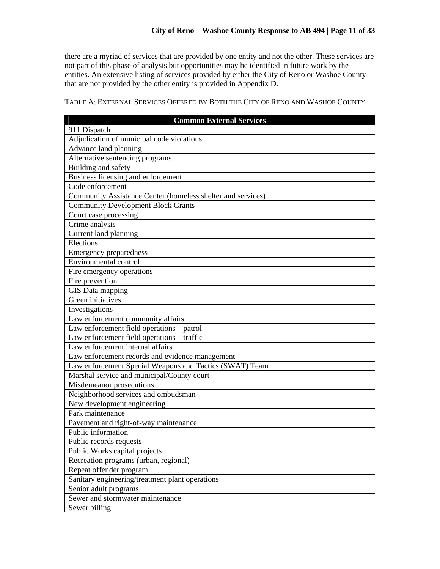there are a myriad of services that are provided by one entity and not the other. These services are not part of this phase of analysis but opportunities may be identified in future work by the entities. An extensive listing of services provided by either the City of Reno or Washoe County that are not provided by the other entity is provided in Appendix D.

TABLE A: EXTERNAL SERVICES OFFERED BY BOTH THE CITY OF RENO AND WASHOE COUNTY

| <b>Common External Services</b>                             |
|-------------------------------------------------------------|
| 911 Dispatch                                                |
| Adjudication of municipal code violations                   |
| Advance land planning                                       |
| Alternative sentencing programs                             |
| Building and safety                                         |
| Business licensing and enforcement                          |
| Code enforcement                                            |
| Community Assistance Center (homeless shelter and services) |
| <b>Community Development Block Grants</b>                   |
| Court case processing                                       |
| Crime analysis                                              |
| Current land planning                                       |
| Elections                                                   |
| <b>Emergency preparedness</b>                               |
| Environmental control                                       |
| Fire emergency operations                                   |
| Fire prevention                                             |
| GIS Data mapping                                            |
| Green initiatives                                           |
| Investigations                                              |
| Law enforcement community affairs                           |
| Law enforcement field operations - patrol                   |
| Law enforcement field operations - traffic                  |
| Law enforcement internal affairs                            |
| Law enforcement records and evidence management             |
| Law enforcement Special Weapons and Tactics (SWAT) Team     |
| Marshal service and municipal/County court                  |
| Misdemeanor prosecutions                                    |
| Neighborhood services and ombudsman                         |
| New development engineering                                 |
| Park maintenance                                            |
| Pavement and right-of-way maintenance                       |
| Public information                                          |
| Public records requests                                     |
| Public Works capital projects                               |
| Recreation programs (urban, regional)                       |
| Repeat offender program                                     |
| Sanitary engineering/treatment plant operations             |
| Senior adult programs                                       |
| Sewer and stormwater maintenance                            |
| Sewer billing                                               |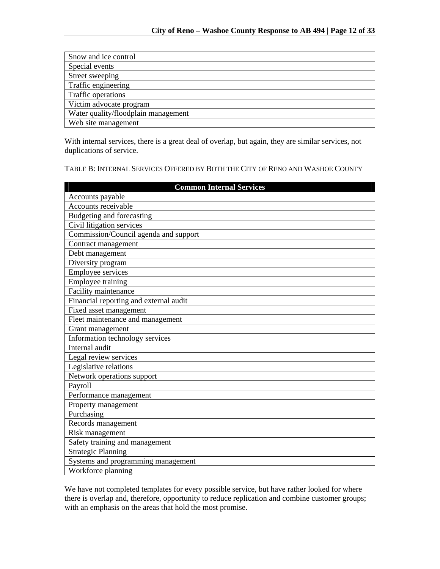| Snow and ice control                |
|-------------------------------------|
| Special events                      |
| Street sweeping                     |
| Traffic engineering                 |
| <b>Traffic operations</b>           |
| Victim advocate program             |
| Water quality/floodplain management |
| Web site management                 |

With internal services, there is a great deal of overlap, but again, they are similar services, not duplications of service.

TABLE B: INTERNAL SERVICES OFFERED BY BOTH THE CITY OF RENO AND WASHOE COUNTY

| <b>Common Internal Services</b>        |
|----------------------------------------|
| Accounts payable                       |
| Accounts receivable                    |
| Budgeting and forecasting              |
| Civil litigation services              |
| Commission/Council agenda and support  |
| Contract management                    |
| Debt management                        |
| Diversity program                      |
| <b>Employee services</b>               |
| Employee training                      |
| Facility maintenance                   |
| Financial reporting and external audit |
| Fixed asset management                 |
| Fleet maintenance and management       |
| Grant management                       |
| Information technology services        |
| Internal audit                         |
| Legal review services                  |
| Legislative relations                  |
| Network operations support             |
| Payroll                                |
| Performance management                 |
| Property management                    |
| Purchasing                             |
| Records management                     |
| Risk management                        |
| Safety training and management         |
| <b>Strategic Planning</b>              |
| Systems and programming management     |
| Workforce planning                     |

We have not completed templates for every possible service, but have rather looked for where there is overlap and, therefore, opportunity to reduce replication and combine customer groups; with an emphasis on the areas that hold the most promise.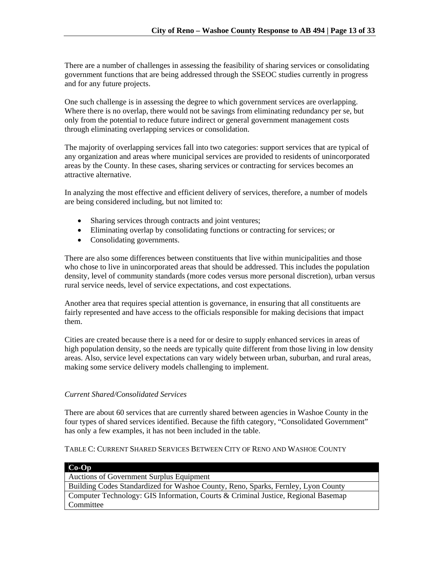There are a number of challenges in assessing the feasibility of sharing services or consolidating government functions that are being addressed through the SSEOC studies currently in progress and for any future projects.

One such challenge is in assessing the degree to which government services are overlapping. Where there is no overlap, there would not be savings from eliminating redundancy per se, but only from the potential to reduce future indirect or general government management costs through eliminating overlapping services or consolidation.

The majority of overlapping services fall into two categories: support services that are typical of any organization and areas where municipal services are provided to residents of unincorporated areas by the County. In these cases, sharing services or contracting for services becomes an attractive alternative.

In analyzing the most effective and efficient delivery of services, therefore, a number of models are being considered including, but not limited to:

- Sharing services through contracts and joint ventures;
- Eliminating overlap by consolidating functions or contracting for services; or
- Consolidating governments.

There are also some differences between constituents that live within municipalities and those who chose to live in unincorporated areas that should be addressed. This includes the population density, level of community standards (more codes versus more personal discretion), urban versus rural service needs, level of service expectations, and cost expectations.

Another area that requires special attention is governance, in ensuring that all constituents are fairly represented and have access to the officials responsible for making decisions that impact them.

Cities are created because there is a need for or desire to supply enhanced services in areas of high population density, so the needs are typically quite different from those living in low density areas. Also, service level expectations can vary widely between urban, suburban, and rural areas, making some service delivery models challenging to implement.

# *Current Shared/Consolidated Services*

There are about 60 services that are currently shared between agencies in Washoe County in the four types of shared services identified. Because the fifth category, "Consolidated Government" has only a few examples, it has not been included in the table.

# TABLE C: CURRENT SHARED SERVICES BETWEEN CITY OF RENO AND WASHOE COUNTY

| $Co-Op$                                                                           |
|-----------------------------------------------------------------------------------|
| Auctions of Government Surplus Equipment                                          |
| Building Codes Standardized for Washoe County, Reno, Sparks, Fernley, Lyon County |
| Computer Technology: GIS Information, Courts & Criminal Justice, Regional Basemap |
| Committee                                                                         |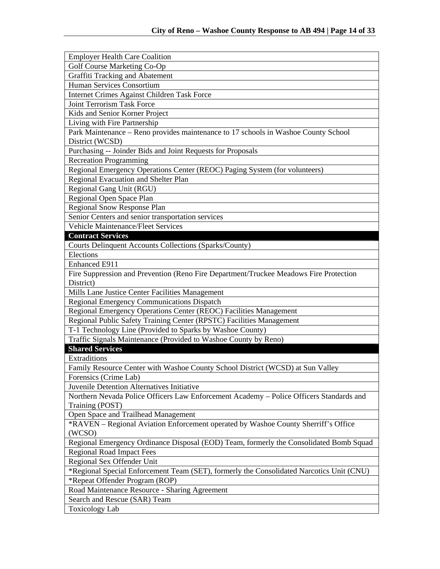| <b>Employer Health Care Coalition</b>                                                    |
|------------------------------------------------------------------------------------------|
| Golf Course Marketing Co-Op                                                              |
| Graffiti Tracking and Abatement                                                          |
| Human Services Consortium                                                                |
| Internet Crimes Against Children Task Force                                              |
| <b>Joint Terrorism Task Force</b>                                                        |
| Kids and Senior Korner Project                                                           |
| Living with Fire Partnership                                                             |
| Park Maintenance – Reno provides maintenance to 17 schools in Washoe County School       |
| District (WCSD)                                                                          |
| Purchasing -- Joinder Bids and Joint Requests for Proposals                              |
| <b>Recreation Programming</b>                                                            |
| Regional Emergency Operations Center (REOC) Paging System (for volunteers)               |
| Regional Evacuation and Shelter Plan                                                     |
| Regional Gang Unit (RGU)                                                                 |
| Regional Open Space Plan                                                                 |
| Regional Snow Response Plan                                                              |
| Senior Centers and senior transportation services                                        |
| Vehicle Maintenance/Fleet Services                                                       |
| <b>Contract Services</b>                                                                 |
| <b>Courts Delinquent Accounts Collections (Sparks/County)</b>                            |
| Elections                                                                                |
| Enhanced E911                                                                            |
| Fire Suppression and Prevention (Reno Fire Department/Truckee Meadows Fire Protection    |
| District)                                                                                |
| Mills Lane Justice Center Facilities Management                                          |
| <b>Regional Emergency Communications Dispatch</b>                                        |
| Regional Emergency Operations Center (REOC) Facilities Management                        |
| Regional Public Safety Training Center (RPSTC) Facilities Management                     |
| T-1 Technology Line (Provided to Sparks by Washoe County)                                |
| Traffic Signals Maintenance (Provided to Washoe County by Reno)                          |
| <b>Shared Services</b>                                                                   |
| Extraditions                                                                             |
| Family Resource Center with Washoe County School District (WCSD) at Sun Valley           |
| Forensics (Crime Lab)                                                                    |
| Juvenile Detention Alternatives Initiative                                               |
| Northern Nevada Police Officers Law Enforcement Academy - Police Officers Standards and  |
| Training (POST)                                                                          |
| Open Space and Trailhead Management                                                      |
| *RAVEN - Regional Aviation Enforcement operated by Washoe County Sherriff's Office       |
| (WCSO)                                                                                   |
| Regional Emergency Ordinance Disposal (EOD) Team, formerly the Consolidated Bomb Squad   |
| <b>Regional Road Impact Fees</b>                                                         |
| Regional Sex Offender Unit                                                               |
| *Regional Special Enforcement Team (SET), formerly the Consolidated Narcotics Unit (CNU) |
| *Repeat Offender Program (ROP)                                                           |
| Road Maintenance Resource - Sharing Agreement                                            |
| Search and Rescue (SAR) Team                                                             |
| <b>Toxicology Lab</b>                                                                    |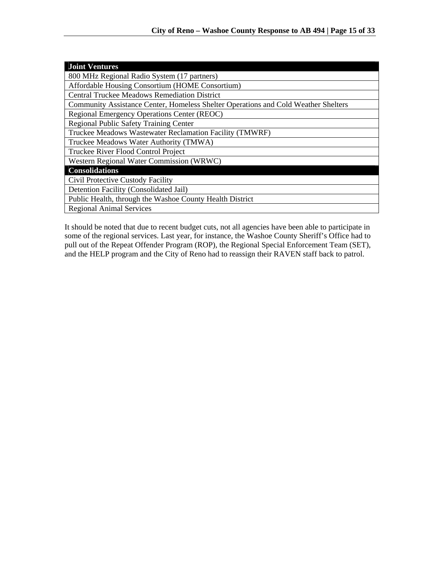| <b>Joint Ventures</b>                                                              |
|------------------------------------------------------------------------------------|
| 800 MHz Regional Radio System (17 partners)                                        |
| Affordable Housing Consortium (HOME Consortium)                                    |
| <b>Central Truckee Meadows Remediation District</b>                                |
| Community Assistance Center, Homeless Shelter Operations and Cold Weather Shelters |
| Regional Emergency Operations Center (REOC)                                        |
| <b>Regional Public Safety Training Center</b>                                      |
| Truckee Meadows Wastewater Reclamation Facility (TMWRF)                            |
| Truckee Meadows Water Authority (TMWA)                                             |
| Truckee River Flood Control Project                                                |
| Western Regional Water Commission (WRWC)                                           |
| <b>Consolidations</b>                                                              |
| Civil Protective Custody Facility                                                  |
| Detention Facility (Consolidated Jail)                                             |
| Public Health, through the Washoe County Health District                           |
| <b>Regional Animal Services</b>                                                    |

It should be noted that due to recent budget cuts, not all agencies have been able to participate in some of the regional services. Last year, for instance, the Washoe County Sheriff's Office had to pull out of the Repeat Offender Program (ROP), the Regional Special Enforcement Team (SET), and the HELP program and the City of Reno had to reassign their RAVEN staff back to patrol.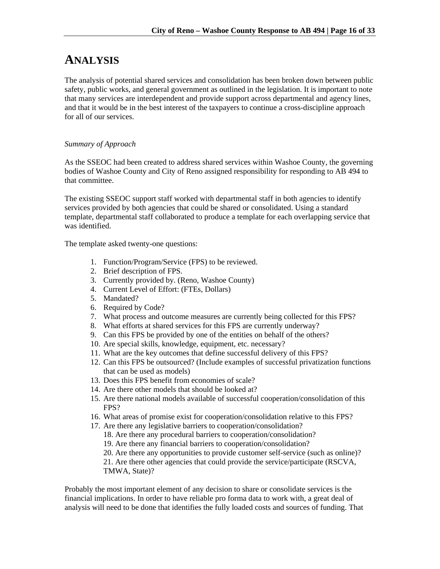# **ANALYSIS**

The analysis of potential shared services and consolidation has been broken down between public safety, public works, and general government as outlined in the legislation. It is important to note that many services are interdependent and provide support across departmental and agency lines, and that it would be in the best interest of the taxpayers to continue a cross-discipline approach for all of our services.

# *Summary of Approach*

As the SSEOC had been created to address shared services within Washoe County, the governing bodies of Washoe County and City of Reno assigned responsibility for responding to AB 494 to that committee.

The existing SSEOC support staff worked with departmental staff in both agencies to identify services provided by both agencies that could be shared or consolidated. Using a standard template, departmental staff collaborated to produce a template for each overlapping service that was identified.

The template asked twenty-one questions:

- 1. Function/Program/Service (FPS) to be reviewed.
- 2. Brief description of FPS.
- 3. Currently provided by. (Reno, Washoe County)
- 4. Current Level of Effort: (FTEs, Dollars)
- 5. Mandated?
- 6. Required by Code?
- 7. What process and outcome measures are currently being collected for this FPS?
- 8. What efforts at shared services for this FPS are currently underway?
- 9. Can this FPS be provided by one of the entities on behalf of the others?
- 10. Are special skills, knowledge, equipment, etc. necessary?
- 11. What are the key outcomes that define successful delivery of this FPS?
- 12. Can this FPS be outsourced? (Include examples of successful privatization functions that can be used as models)
- 13. Does this FPS benefit from economies of scale?
- 14. Are there other models that should be looked at?
- 15. Are there national models available of successful cooperation/consolidation of this FPS?
- 16. What areas of promise exist for cooperation/consolidation relative to this FPS?
- 17. Are there any legislative barriers to cooperation/consolidation?
	- 18. Are there any procedural barriers to cooperation/consolidation?
	- 19. Are there any financial barriers to cooperation/consolidation?
	- 20. Are there any opportunities to provide customer self-service (such as online)?

21. Are there other agencies that could provide the service/participate (RSCVA, TMWA, State)?

Probably the most important element of any decision to share or consolidate services is the financial implications. In order to have reliable pro forma data to work with, a great deal of analysis will need to be done that identifies the fully loaded costs and sources of funding. That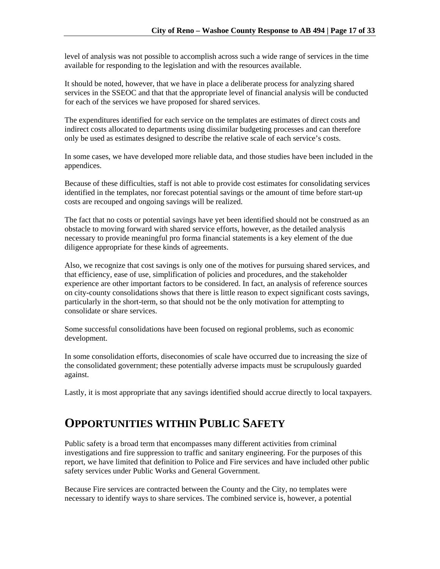level of analysis was not possible to accomplish across such a wide range of services in the time available for responding to the legislation and with the resources available.

It should be noted, however, that we have in place a deliberate process for analyzing shared services in the SSEOC and that that the appropriate level of financial analysis will be conducted for each of the services we have proposed for shared services.

The expenditures identified for each service on the templates are estimates of direct costs and indirect costs allocated to departments using dissimilar budgeting processes and can therefore only be used as estimates designed to describe the relative scale of each service's costs.

In some cases, we have developed more reliable data, and those studies have been included in the appendices.

Because of these difficulties, staff is not able to provide cost estimates for consolidating services identified in the templates, nor forecast potential savings or the amount of time before start-up costs are recouped and ongoing savings will be realized.

The fact that no costs or potential savings have yet been identified should not be construed as an obstacle to moving forward with shared service efforts, however, as the detailed analysis necessary to provide meaningful pro forma financial statements is a key element of the due diligence appropriate for these kinds of agreements.

Also, we recognize that cost savings is only one of the motives for pursuing shared services, and that efficiency, ease of use, simplification of policies and procedures, and the stakeholder experience are other important factors to be considered. In fact, an analysis of reference sources on city-county consolidations shows that there is little reason to expect significant costs savings, particularly in the short-term, so that should not be the only motivation for attempting to consolidate or share services.

Some successful consolidations have been focused on regional problems, such as economic development.

In some consolidation efforts, diseconomies of scale have occurred due to increasing the size of the consolidated government; these potentially adverse impacts must be scrupulously guarded against.

Lastly, it is most appropriate that any savings identified should accrue directly to local taxpayers.

# **OPPORTUNITIES WITHIN PUBLIC SAFETY**

Public safety is a broad term that encompasses many different activities from criminal investigations and fire suppression to traffic and sanitary engineering. For the purposes of this report, we have limited that definition to Police and Fire services and have included other public safety services under Public Works and General Government.

Because Fire services are contracted between the County and the City, no templates were necessary to identify ways to share services. The combined service is, however, a potential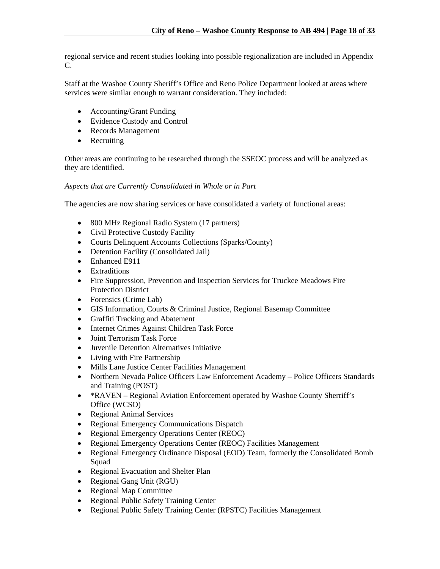regional service and recent studies looking into possible regionalization are included in Appendix C.

Staff at the Washoe County Sheriff's Office and Reno Police Department looked at areas where services were similar enough to warrant consideration. They included:

- Accounting/Grant Funding
- Evidence Custody and Control
- Records Management
- Recruiting

Other areas are continuing to be researched through the SSEOC process and will be analyzed as they are identified.

# *Aspects that are Currently Consolidated in Whole or in Part*

The agencies are now sharing services or have consolidated a variety of functional areas:

- 800 MHz Regional Radio System (17 partners)
- Civil Protective Custody Facility
- Courts Delinquent Accounts Collections (Sparks/County)
- Detention Facility (Consolidated Jail)
- Enhanced E911
- Extraditions
- Fire Suppression, Prevention and Inspection Services for Truckee Meadows Fire Protection District
- Forensics (Crime Lab)
- GIS Information, Courts & Criminal Justice, Regional Basemap Committee
- Graffiti Tracking and Abatement
- Internet Crimes Against Children Task Force
- Joint Terrorism Task Force
- Juvenile Detention Alternatives Initiative
- Living with Fire Partnership
- Mills Lane Justice Center Facilities Management
- Northern Nevada Police Officers Law Enforcement Academy Police Officers Standards and Training (POST)
- \*RAVEN Regional Aviation Enforcement operated by Washoe County Sherriff's Office (WCSO)
- Regional Animal Services
- Regional Emergency Communications Dispatch
- Regional Emergency Operations Center (REOC)
- Regional Emergency Operations Center (REOC) Facilities Management
- Regional Emergency Ordinance Disposal (EOD) Team, formerly the Consolidated Bomb Squad
- Regional Evacuation and Shelter Plan
- Regional Gang Unit (RGU)
- Regional Map Committee
- Regional Public Safety Training Center
- Regional Public Safety Training Center (RPSTC) Facilities Management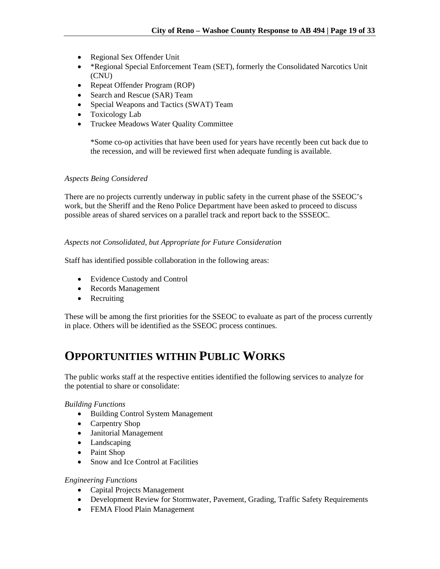- Regional Sex Offender Unit
- \*Regional Special Enforcement Team (SET), formerly the Consolidated Narcotics Unit (CNU)
- Repeat Offender Program (ROP)
- Search and Rescue (SAR) Team
- Special Weapons and Tactics (SWAT) Team
- Toxicology Lab
- Truckee Meadows Water Quality Committee

\*Some co-op activities that have been used for years have recently been cut back due to the recession, and will be reviewed first when adequate funding is available.

# *Aspects Being Considered*

There are no projects currently underway in public safety in the current phase of the SSEOC's work, but the Sheriff and the Reno Police Department have been asked to proceed to discuss possible areas of shared services on a parallel track and report back to the SSSEOC.

# *Aspects not Consolidated, but Appropriate for Future Consideration*

Staff has identified possible collaboration in the following areas:

- Evidence Custody and Control
- Records Management
- Recruiting

These will be among the first priorities for the SSEOC to evaluate as part of the process currently in place. Others will be identified as the SSEOC process continues.

# **OPPORTUNITIES WITHIN PUBLIC WORKS**

The public works staff at the respective entities identified the following services to analyze for the potential to share or consolidate:

# *Building Functions*

- Building Control System Management
- Carpentry Shop
- Janitorial Management
- Landscaping
- Paint Shop
- Snow and Ice Control at Facilities

# *Engineering Functions*

- Capital Projects Management
- Development Review for Stormwater, Pavement, Grading, Traffic Safety Requirements
- FEMA Flood Plain Management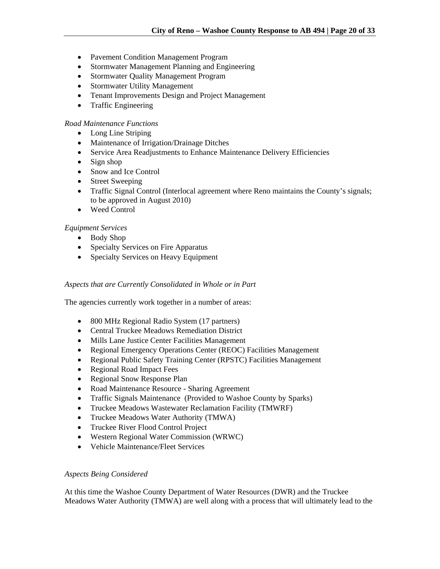- Pavement Condition Management Program
- Stormwater Management Planning and Engineering
- Stormwater Quality Management Program
- Stormwater Utility Management
- Tenant Improvements Design and Project Management
- Traffic Engineering

#### *Road Maintenance Functions*

- Long Line Striping
- Maintenance of Irrigation/Drainage Ditches
- Service Area Readjustments to Enhance Maintenance Delivery Efficiencies
- $\bullet$  Sign shop
- Snow and Ice Control
- Street Sweeping
- Traffic Signal Control (Interlocal agreement where Reno maintains the County's signals; to be approved in August 2010)
- Weed Control

#### *Equipment Services*

- Body Shop
- Specialty Services on Fire Apparatus
- Specialty Services on Heavy Equipment

#### *Aspects that are Currently Consolidated in Whole or in Part*

The agencies currently work together in a number of areas:

- 800 MHz Regional Radio System (17 partners)
- Central Truckee Meadows Remediation District
- Mills Lane Justice Center Facilities Management
- Regional Emergency Operations Center (REOC) Facilities Management
- Regional Public Safety Training Center (RPSTC) Facilities Management
- Regional Road Impact Fees
- Regional Snow Response Plan
- Road Maintenance Resource Sharing Agreement
- Traffic Signals Maintenance (Provided to Washoe County by Sparks)
- Truckee Meadows Wastewater Reclamation Facility (TMWRF)
- Truckee Meadows Water Authority (TMWA)
- Truckee River Flood Control Project
- Western Regional Water Commission (WRWC)
- Vehicle Maintenance/Fleet Services

#### *Aspects Being Considered*

At this time the Washoe County Department of Water Resources (DWR) and the Truckee Meadows Water Authority (TMWA) are well along with a process that will ultimately lead to the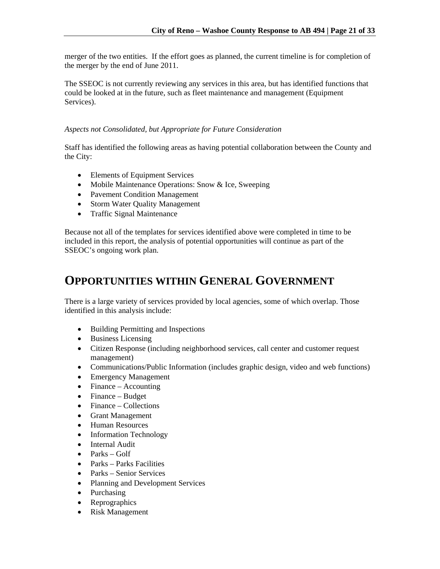merger of the two entities. If the effort goes as planned, the current timeline is for completion of the merger by the end of June 2011.

The SSEOC is not currently reviewing any services in this area, but has identified functions that could be looked at in the future, such as fleet maintenance and management (Equipment Services).

# *Aspects not Consolidated, but Appropriate for Future Consideration*

Staff has identified the following areas as having potential collaboration between the County and the City:

- Elements of Equipment Services
- Mobile Maintenance Operations: Snow & Ice, Sweeping
- Pavement Condition Management
- Storm Water Quality Management
- Traffic Signal Maintenance

Because not all of the templates for services identified above were completed in time to be included in this report, the analysis of potential opportunities will continue as part of the SSEOC's ongoing work plan.

# **OPPORTUNITIES WITHIN GENERAL GOVERNMENT**

There is a large variety of services provided by local agencies, some of which overlap. Those identified in this analysis include:

- Building Permitting and Inspections
- Business Licensing
- Citizen Response (including neighborhood services, call center and customer request management)
- Communications/Public Information (includes graphic design, video and web functions)
- Emergency Management
- Finance Accounting
- Finance Budget
- Finance Collections
- Grant Management
- Human Resources
- Information Technology
- Internal Audit
- $\bullet$  Parks Golf
- Parks Parks Facilities
- Parks Senior Services
- Planning and Development Services
- Purchasing
- Reprographics
- Risk Management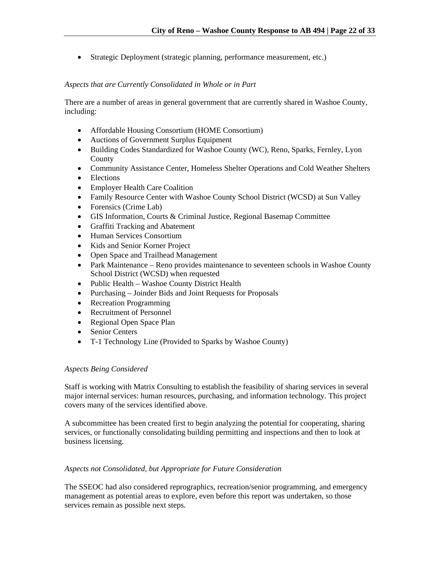Strategic Deployment (strategic planning, performance measurement, etc.)

# *Aspects that are Currently Consolidated in Whole or in Part*

There are a number of areas in general government that are currently shared in Washoe County, including:

- Affordable Housing Consortium (HOME Consortium)
- Auctions of Government Surplus Equipment
- Building Codes Standardized for Washoe County (WC), Reno, Sparks, Fernley, Lyon County
- Community Assistance Center, Homeless Shelter Operations and Cold Weather Shelters
- Elections
- Employer Health Care Coalition
- Family Resource Center with Washoe County School District (WCSD) at Sun Valley
- Forensics (Crime Lab)
- GIS Information, Courts & Criminal Justice, Regional Basemap Committee
- Graffiti Tracking and Abatement
- Human Services Consortium
- Kids and Senior Korner Project
- Open Space and Trailhead Management
- Park Maintenance Reno provides maintenance to seventeen schools in Washoe County School District (WCSD) when requested
- Public Health Washoe County District Health
- Purchasing Joinder Bids and Joint Requests for Proposals
- Recreation Programming
- Recruitment of Personnel
- Regional Open Space Plan
- Senior Centers
- T-1 Technology Line (Provided to Sparks by Washoe County)

# *Aspects Being Considered*

Staff is working with Matrix Consulting to establish the feasibility of sharing services in several major internal services: human resources, purchasing, and information technology. This project covers many of the services identified above.

A subcommittee has been created first to begin analyzing the potential for cooperating, sharing services, or functionally consolidating building permitting and inspections and then to look at business licensing.

# *Aspects not Consolidated, but Appropriate for Future Consideration*

The SSEOC had also considered reprographics, recreation/senior programming, and emergency management as potential areas to explore, even before this report was undertaken, so those services remain as possible next steps.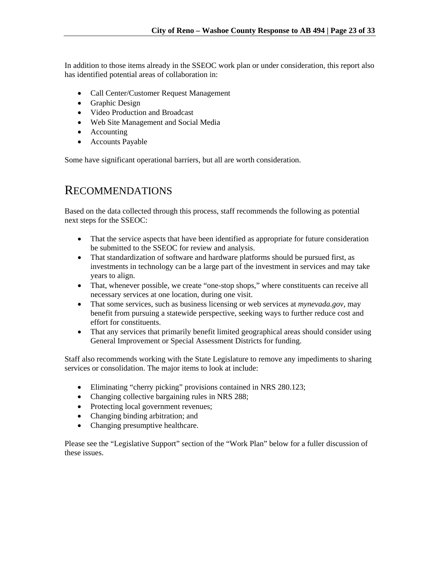In addition to those items already in the SSEOC work plan or under consideration, this report also has identified potential areas of collaboration in:

- Call Center/Customer Request Management
- Graphic Design
- Video Production and Broadcast
- Web Site Management and Social Media
- Accounting
- Accounts Payable

Some have significant operational barriers, but all are worth consideration.

# RECOMMENDATIONS

Based on the data collected through this process, staff recommends the following as potential next steps for the SSEOC:

- That the service aspects that have been identified as appropriate for future consideration be submitted to the SSEOC for review and analysis.
- That standardization of software and hardware platforms should be pursued first, as investments in technology can be a large part of the investment in services and may take years to align.
- That, whenever possible, we create "one-stop shops," where constituents can receive all necessary services at one location, during one visit.
- That some services, such as business licensing or web services at *mynevada.gov*, may benefit from pursuing a statewide perspective, seeking ways to further reduce cost and effort for constituents.
- That any services that primarily benefit limited geographical areas should consider using General Improvement or Special Assessment Districts for funding.

Staff also recommends working with the State Legislature to remove any impediments to sharing services or consolidation. The major items to look at include:

- Eliminating "cherry picking" provisions contained in NRS 280.123;
- Changing collective bargaining rules in NRS 288;
- Protecting local government revenues;
- Changing binding arbitration; and
- Changing presumptive healthcare.

Please see the "Legislative Support" section of the "Work Plan" below for a fuller discussion of these issues.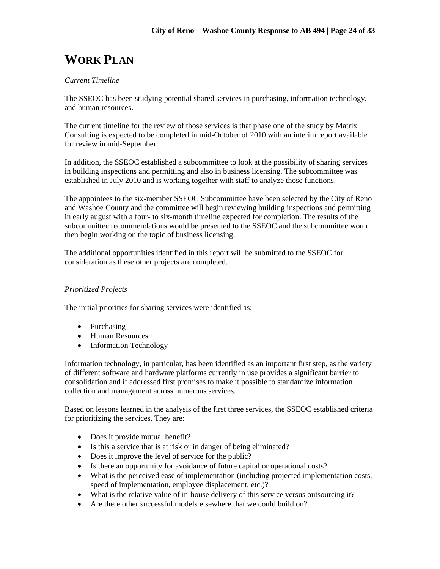# **WORK PLAN**

# *Current Timeline*

The SSEOC has been studying potential shared services in purchasing, information technology, and human resources.

The current timeline for the review of those services is that phase one of the study by Matrix Consulting is expected to be completed in mid-October of 2010 with an interim report available for review in mid-September.

In addition, the SSEOC established a subcommittee to look at the possibility of sharing services in building inspections and permitting and also in business licensing. The subcommittee was established in July 2010 and is working together with staff to analyze those functions.

The appointees to the six-member SSEOC Subcommittee have been selected by the City of Reno and Washoe County and the committee will begin reviewing building inspections and permitting in early august with a four- to six-month timeline expected for completion. The results of the subcommittee recommendations would be presented to the SSEOC and the subcommittee would then begin working on the topic of business licensing.

The additional opportunities identified in this report will be submitted to the SSEOC for consideration as these other projects are completed.

# *Prioritized Projects*

The initial priorities for sharing services were identified as:

- Purchasing
- Human Resources
- Information Technology

Information technology, in particular, has been identified as an important first step, as the variety of different software and hardware platforms currently in use provides a significant barrier to consolidation and if addressed first promises to make it possible to standardize information collection and management across numerous services.

Based on lessons learned in the analysis of the first three services, the SSEOC established criteria for prioritizing the services. They are:

- Does it provide mutual benefit?
- Is this a service that is at risk or in danger of being eliminated?
- Does it improve the level of service for the public?
- Is there an opportunity for avoidance of future capital or operational costs?
- What is the perceived ease of implementation (including projected implementation costs, speed of implementation, employee displacement, etc.)?
- What is the relative value of in-house delivery of this service versus outsourcing it?
- Are there other successful models elsewhere that we could build on?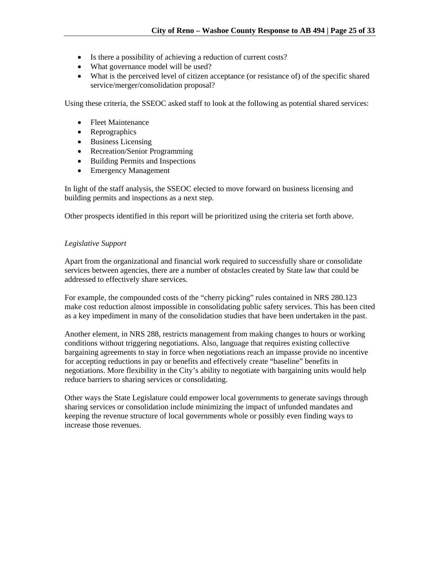- Is there a possibility of achieving a reduction of current costs?
- What governance model will be used?
- What is the perceived level of citizen acceptance (or resistance of) of the specific shared service/merger/consolidation proposal?

Using these criteria, the SSEOC asked staff to look at the following as potential shared services:

- Fleet Maintenance
- Reprographics
- Business Licensing
- Recreation/Senior Programming
- Building Permits and Inspections
- Emergency Management

In light of the staff analysis, the SSEOC elected to move forward on business licensing and building permits and inspections as a next step.

Other prospects identified in this report will be prioritized using the criteria set forth above.

# *Legislative Support*

Apart from the organizational and financial work required to successfully share or consolidate services between agencies, there are a number of obstacles created by State law that could be addressed to effectively share services.

For example, the compounded costs of the "cherry picking" rules contained in NRS 280.123 make cost reduction almost impossible in consolidating public safety services. This has been cited as a key impediment in many of the consolidation studies that have been undertaken in the past.

Another element, in NRS 288, restricts management from making changes to hours or working conditions without triggering negotiations. Also, language that requires existing collective bargaining agreements to stay in force when negotiations reach an impasse provide no incentive for accepting reductions in pay or benefits and effectively create "baseline" benefits in negotiations. More flexibility in the City's ability to negotiate with bargaining units would help reduce barriers to sharing services or consolidating.

Other ways the State Legislature could empower local governments to generate savings through sharing services or consolidation include minimizing the impact of unfunded mandates and keeping the revenue structure of local governments whole or possibly even finding ways to increase those revenues.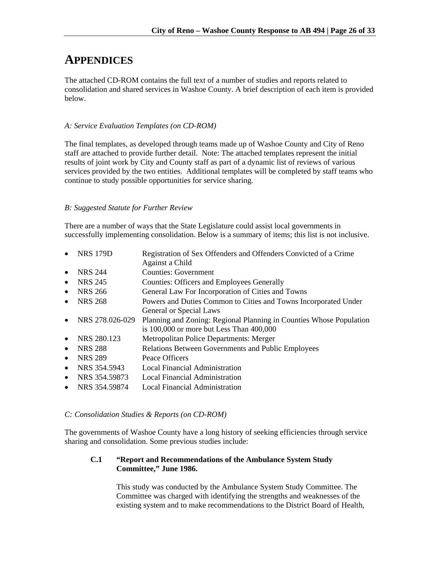# **APPENDICES**

The attached CD-ROM contains the full text of a number of studies and reports related to consolidation and shared services in Washoe County. A brief description of each item is provided below.

# *A: Service Evaluation Templates (on CD-ROM)*

The final templates, as developed through teams made up of Washoe County and City of Reno staff are attached to provide further detail. Note: The attached templates represent the initial results of joint work by City and County staff as part of a dynamic list of reviews of various services provided by the two entities. Additional templates will be completed by staff teams who continue to study possible opportunities for service sharing.

# *B: Suggested Statute for Further Review*

There are a number of ways that the State Legislature could assist local governments in successfully implementing consolidation. Below is a summary of items; this list is not inclusive.

- NRS 179D Registration of Sex Offenders and Offenders Convicted of a Crime Against a Child NRS 244 Counties: Government • NRS 245 Counties: Officers and Employees Generally
- NRS 266 General Law For Incorporation of Cities and Towns
- NRS 268 Powers and Duties Common to Cities and Towns Incorporated Under General or Special Laws
- NRS 278.026-029 Planning and Zoning: Regional Planning in Counties Whose Population is 100,000 or more but Less Than 400,000
- NRS 280.123 Metropolitan Police Departments: Merger
- NRS 288 Relations Between Governments and Public Employees
- NRS 289 Peace Officers
- NRS 354.5943 Local Financial Administration
- NRS 354.59873 Local Financial Administration
- NRS 354.59874 Local Financial Administration

# *C: Consolidation Studies & Reports (on CD-ROM)*

The governments of Washoe County have a long history of seeking efficiencies through service sharing and consolidation. Some previous studies include:

# **C.1 "Report and Recommendations of the Ambulance System Study Committee," June 1986.**

This study was conducted by the Ambulance System Study Committee. The Committee was charged with identifying the strengths and weaknesses of the existing system and to make recommendations to the District Board of Health,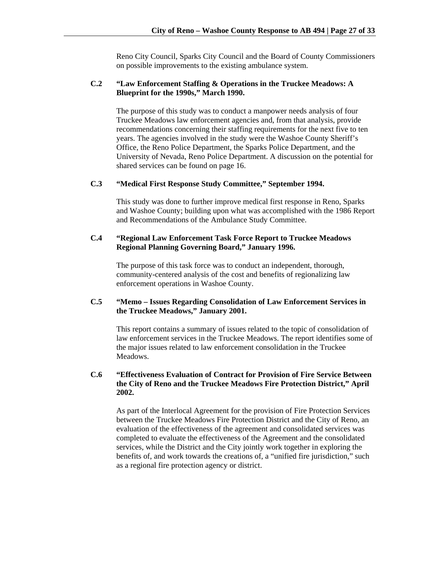Reno City Council, Sparks City Council and the Board of County Commissioners on possible improvements to the existing ambulance system.

# **C.2 "Law Enforcement Staffing & Operations in the Truckee Meadows: A Blueprint for the 1990s," March 1990.**

The purpose of this study was to conduct a manpower needs analysis of four Truckee Meadows law enforcement agencies and, from that analysis, provide recommendations concerning their staffing requirements for the next five to ten years. The agencies involved in the study were the Washoe County Sheriff's Office, the Reno Police Department, the Sparks Police Department, and the University of Nevada, Reno Police Department. A discussion on the potential for shared services can be found on page 16.

#### **C.3 "Medical First Response Study Committee," September 1994.**

This study was done to further improve medical first response in Reno, Sparks and Washoe County; building upon what was accomplished with the 1986 Report and Recommendations of the Ambulance Study Committee.

# **C.4 "Regional Law Enforcement Task Force Report to Truckee Meadows Regional Planning Governing Board," January 1996.**

The purpose of this task force was to conduct an independent, thorough, community-centered analysis of the cost and benefits of regionalizing law enforcement operations in Washoe County.

# **C.5 "Memo – Issues Regarding Consolidation of Law Enforcement Services in the Truckee Meadows," January 2001.**

This report contains a summary of issues related to the topic of consolidation of law enforcement services in the Truckee Meadows. The report identifies some of the major issues related to law enforcement consolidation in the Truckee Meadows.

# **C.6 "Effectiveness Evaluation of Contract for Provision of Fire Service Between the City of Reno and the Truckee Meadows Fire Protection District," April 2002.**

As part of the Interlocal Agreement for the provision of Fire Protection Services between the Truckee Meadows Fire Protection District and the City of Reno, an evaluation of the effectiveness of the agreement and consolidated services was completed to evaluate the effectiveness of the Agreement and the consolidated services, while the District and the City jointly work together in exploring the benefits of, and work towards the creations of, a "unified fire jurisdiction," such as a regional fire protection agency or district.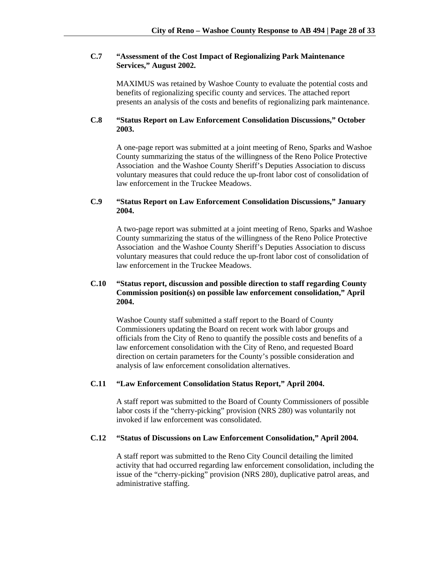# **C.7 "Assessment of the Cost Impact of Regionalizing Park Maintenance Services," August 2002.**

 MAXIMUS was retained by Washoe County to evaluate the potential costs and benefits of regionalizing specific county and services. The attached report presents an analysis of the costs and benefits of regionalizing park maintenance.

### **C.8 "Status Report on Law Enforcement Consolidation Discussions," October 2003.**

A one-page report was submitted at a joint meeting of Reno, Sparks and Washoe County summarizing the status of the willingness of the Reno Police Protective Association and the Washoe County Sheriff's Deputies Association to discuss voluntary measures that could reduce the up-front labor cost of consolidation of law enforcement in the Truckee Meadows.

# **C.9 "Status Report on Law Enforcement Consolidation Discussions," January 2004.**

A two-page report was submitted at a joint meeting of Reno, Sparks and Washoe County summarizing the status of the willingness of the Reno Police Protective Association and the Washoe County Sheriff's Deputies Association to discuss voluntary measures that could reduce the up-front labor cost of consolidation of law enforcement in the Truckee Meadows.

# **C.10 "Status report, discussion and possible direction to staff regarding County Commission position(s) on possible law enforcement consolidation," April 2004.**

Washoe County staff submitted a staff report to the Board of County Commissioners updating the Board on recent work with labor groups and officials from the City of Reno to quantify the possible costs and benefits of a law enforcement consolidation with the City of Reno, and requested Board direction on certain parameters for the County's possible consideration and analysis of law enforcement consolidation alternatives.

# **C.11 "Law Enforcement Consolidation Status Report," April 2004.**

A staff report was submitted to the Board of County Commissioners of possible labor costs if the "cherry-picking" provision (NRS 280) was voluntarily not invoked if law enforcement was consolidated.

# **C.12 "Status of Discussions on Law Enforcement Consolidation," April 2004.**

A staff report was submitted to the Reno City Council detailing the limited activity that had occurred regarding law enforcement consolidation, including the issue of the "cherry-picking" provision (NRS 280), duplicative patrol areas, and administrative staffing.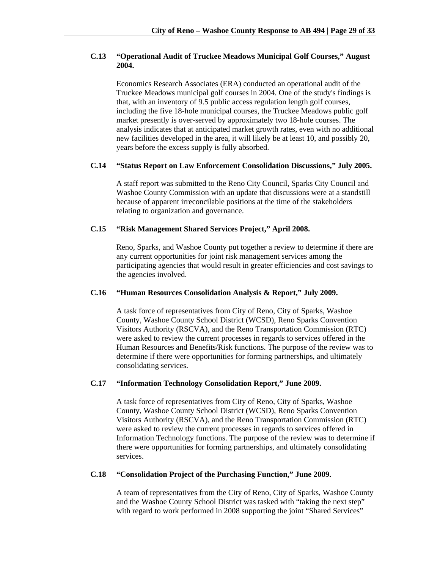# **C.13 "Operational Audit of Truckee Meadows Municipal Golf Courses," August 2004.**

 Economics Research Associates (ERA) conducted an operational audit of the Truckee Meadows municipal golf courses in 2004. One of the study's findings is that, with an inventory of 9.5 public access regulation length golf courses, including the five 18-hole municipal courses, the Truckee Meadows public golf market presently is over-served by approximately two 18-hole courses. The analysis indicates that at anticipated market growth rates, even with no additional new facilities developed in the area, it will likely be at least 10, and possibly 20, years before the excess supply is fully absorbed.

### **C.14 "Status Report on Law Enforcement Consolidation Discussions," July 2005.**

A staff report was submitted to the Reno City Council, Sparks City Council and Washoe County Commission with an update that discussions were at a standstill because of apparent irreconcilable positions at the time of the stakeholders relating to organization and governance.

# **C.15 "Risk Management Shared Services Project," April 2008.**

Reno, Sparks, and Washoe County put together a review to determine if there are any current opportunities for joint risk management services among the participating agencies that would result in greater efficiencies and cost savings to the agencies involved.

### **C.16 "Human Resources Consolidation Analysis & Report," July 2009.**

A task force of representatives from City of Reno, City of Sparks, Washoe County, Washoe County School District (WCSD), Reno Sparks Convention Visitors Authority (RSCVA), and the Reno Transportation Commission (RTC) were asked to review the current processes in regards to services offered in the Human Resources and Benefits/Risk functions. The purpose of the review was to determine if there were opportunities for forming partnerships, and ultimately consolidating services.

#### **C.17 "Information Technology Consolidation Report," June 2009.**

A task force of representatives from City of Reno, City of Sparks, Washoe County, Washoe County School District (WCSD), Reno Sparks Convention Visitors Authority (RSCVA), and the Reno Transportation Commission (RTC) were asked to review the current processes in regards to services offered in Information Technology functions. The purpose of the review was to determine if there were opportunities for forming partnerships, and ultimately consolidating services.

#### **C.18 "Consolidation Project of the Purchasing Function," June 2009.**

A team of representatives from the City of Reno, City of Sparks, Washoe County and the Washoe County School District was tasked with "taking the next step" with regard to work performed in 2008 supporting the joint "Shared Services"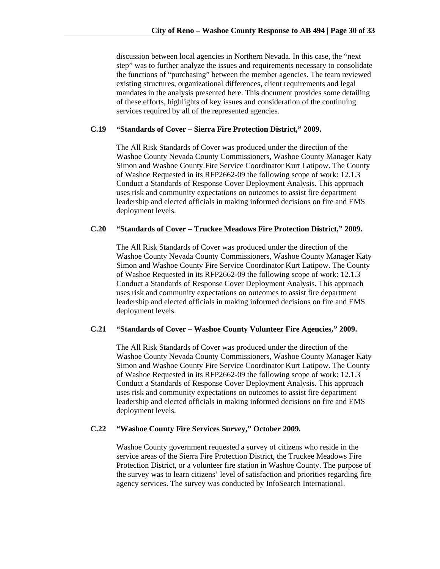discussion between local agencies in Northern Nevada. In this case, the "next step" was to further analyze the issues and requirements necessary to consolidate the functions of "purchasing" between the member agencies. The team reviewed existing structures, organizational differences, client requirements and legal mandates in the analysis presented here. This document provides some detailing of these efforts, highlights of key issues and consideration of the continuing services required by all of the represented agencies.

#### **C.19 "Standards of Cover – Sierra Fire Protection District," 2009.**

The All Risk Standards of Cover was produced under the direction of the Washoe County Nevada County Commissioners, Washoe County Manager Katy Simon and Washoe County Fire Service Coordinator Kurt Latipow. The County of Washoe Requested in its RFP2662-09 the following scope of work: 12.1.3 Conduct a Standards of Response Cover Deployment Analysis. This approach uses risk and community expectations on outcomes to assist fire department leadership and elected officials in making informed decisions on fire and EMS deployment levels.

# **C.20 "Standards of Cover – Truckee Meadows Fire Protection District," 2009.**

The All Risk Standards of Cover was produced under the direction of the Washoe County Nevada County Commissioners, Washoe County Manager Katy Simon and Washoe County Fire Service Coordinator Kurt Latipow. The County of Washoe Requested in its RFP2662-09 the following scope of work: 12.1.3 Conduct a Standards of Response Cover Deployment Analysis. This approach uses risk and community expectations on outcomes to assist fire department leadership and elected officials in making informed decisions on fire and EMS deployment levels.

#### **C.21 "Standards of Cover – Washoe County Volunteer Fire Agencies," 2009.**

The All Risk Standards of Cover was produced under the direction of the Washoe County Nevada County Commissioners, Washoe County Manager Katy Simon and Washoe County Fire Service Coordinator Kurt Latipow. The County of Washoe Requested in its RFP2662-09 the following scope of work: 12.1.3 Conduct a Standards of Response Cover Deployment Analysis. This approach uses risk and community expectations on outcomes to assist fire department leadership and elected officials in making informed decisions on fire and EMS deployment levels.

#### **C.22 "Washoe County Fire Services Survey," October 2009.**

 Washoe County government requested a survey of citizens who reside in the service areas of the Sierra Fire Protection District, the Truckee Meadows Fire Protection District, or a volunteer fire station in Washoe County. The purpose of the survey was to learn citizens' level of satisfaction and priorities regarding fire agency services. The survey was conducted by InfoSearch International.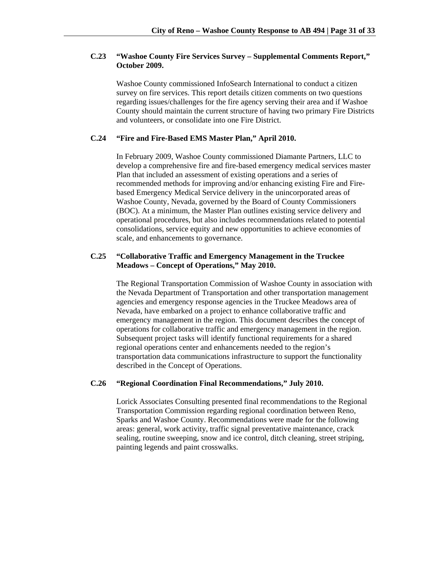# **C.23 "Washoe County Fire Services Survey – Supplemental Comments Report," October 2009.**

Washoe County commissioned InfoSearch International to conduct a citizen survey on fire services. This report details citizen comments on two questions regarding issues/challenges for the fire agency serving their area and if Washoe County should maintain the current structure of having two primary Fire Districts and volunteers, or consolidate into one Fire District.

#### **C.24 "Fire and Fire-Based EMS Master Plan," April 2010.**

In February 2009, Washoe County commissioned Diamante Partners, LLC to develop a comprehensive fire and fire-based emergency medical services master Plan that included an assessment of existing operations and a series of recommended methods for improving and/or enhancing existing Fire and Firebased Emergency Medical Service delivery in the unincorporated areas of Washoe County, Nevada, governed by the Board of County Commissioners (BOC). At a minimum, the Master Plan outlines existing service delivery and operational procedures, but also includes recommendations related to potential consolidations, service equity and new opportunities to achieve economies of scale, and enhancements to governance.

# **C.25 "Collaborative Traffic and Emergency Management in the Truckee Meadows – Concept of Operations," May 2010.**

 The Regional Transportation Commission of Washoe County in association with the Nevada Department of Transportation and other transportation management agencies and emergency response agencies in the Truckee Meadows area of Nevada, have embarked on a project to enhance collaborative traffic and emergency management in the region. This document describes the concept of operations for collaborative traffic and emergency management in the region. Subsequent project tasks will identify functional requirements for a shared regional operations center and enhancements needed to the region's transportation data communications infrastructure to support the functionality described in the Concept of Operations.

### **C.26 "Regional Coordination Final Recommendations," July 2010.**

 Lorick Associates Consulting presented final recommendations to the Regional Transportation Commission regarding regional coordination between Reno, Sparks and Washoe County. Recommendations were made for the following areas: general, work activity, traffic signal preventative maintenance, crack sealing, routine sweeping, snow and ice control, ditch cleaning, street striping, painting legends and paint crosswalks.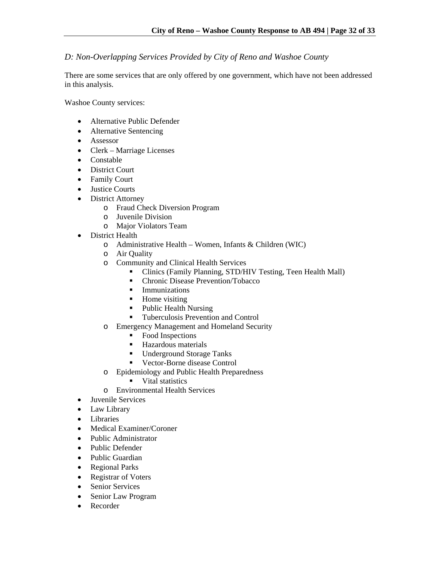# *D: Non-Overlapping Services Provided by City of Reno and Washoe County*

There are some services that are only offered by one government, which have not been addressed in this analysis.

Washoe County services:

- Alternative Public Defender
- Alternative Sentencing
- Assessor
- Clerk Marriage Licenses
- Constable
- District Court
- Family Court
- Justice Courts
- District Attorney
	- o Fraud Check Diversion Program
	- o Juvenile Division
	- o Major Violators Team
- District Health
	- o Administrative Health Women, Infants & Children (WIC)
	- o Air Quality
	- o Community and Clinical Health Services
		- Clinics (Family Planning, STD/HIV Testing, Teen Health Mall)
		- Chronic Disease Prevention/Tobacco
		- **Immunizations**
		- Home visiting
		- Public Health Nursing
		- Tuberculosis Prevention and Control
	- o Emergency Management and Homeland Security
		- Food Inspections
		- **Hazardous materials**
		- Underground Storage Tanks
		- Vector-Borne disease Control
	- o Epidemiology and Public Health Preparedness
		- **v** Vital statistics
	- o Environmental Health Services
- Juvenile Services
- Law Library
- Libraries
- Medical Examiner/Coroner
- Public Administrator
- Public Defender
- Public Guardian
- Regional Parks
- Registrar of Voters
- Senior Services
- Senior Law Program
- Recorder